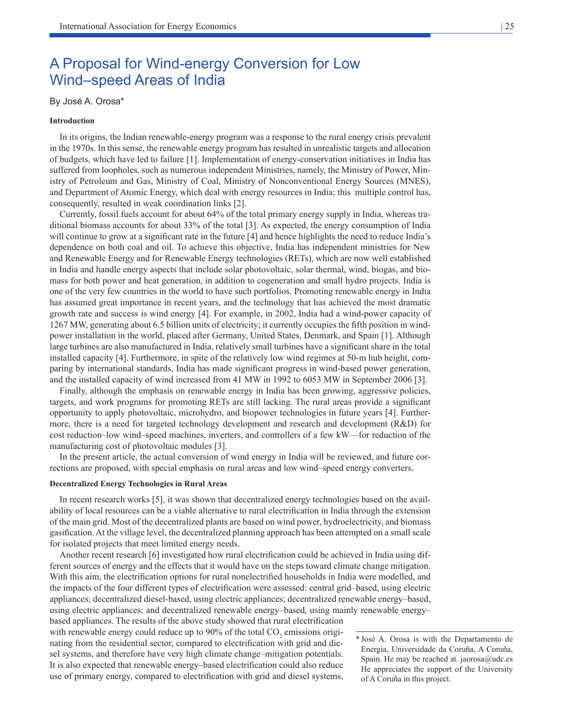# A Proposal for Wind-energy Conversion for Low Wind–speed Areas of India

# By José A. Orosa\*

## **Introduction**

In its origins, the Indian renewable-energy program was a response to the rural energy crisis prevalent in the 1970s. In this sense, the renewable energy program has resulted in unrealistic targets and allocation of budgets, which have led to failure [1]. Implementation of energy-conservation initiatives in India has suffered from loopholes, such as numerous independent Ministries, namely, the Ministry of Power, Ministry of Petroleum and Gas, Ministry of Coal, Ministry of Nonconventional Energy Sources (MNES), and Department of Atomic Energy, which deal with energy resources in India; this multiple control has, consequently, resulted in weak coordination links [2].

Currently, fossil fuels account for about 64% of the total primary energy supply in India, whereas traditional biomass accounts for about 33% of the total [3]. As expected, the energy consumption of India will continue to grow at a significant rate in the future [4] and hence highlights the need to reduce India's dependence on both coal and oil. To achieve this objective, India has independent ministries for New and Renewable Energy and for Renewable Energy technologies (RETs), which are now well established in India and handle energy aspects that include solar photovoltaic, solar thermal, wind, biogas, and biomass for both power and heat generation, in addition to cogeneration and small hydro projects. India is one of the very few countries in the world to have such portfolios. Promoting renewable energy in India has assumed great importance in recent years, and the technology that has achieved the most dramatic growth rate and success is wind energy [4]. For example, in 2002, India had a wind-power capacity of 1267 MW, generating about 6.5 billion units of electricity; it currently occupies the fifth position in windpower installation in the world, placed after Germany, United States, Denmark, and Spain [1]. Although large turbines are also manufactured in India, relatively small turbines have a significant share in the total installed capacity [4]. Furthermore, in spite of the relatively low wind regimes at 50-m hub height, comparing by international standards, India has made significant progress in wind-based power generation, and the installed capacity of wind increased from 41 MW in 1992 to 6053 MW in September 2006 [3].

Finally, although the emphasis on renewable energy in India has been growing, aggressive policies, targets, and work programs for promoting RETs are still lacking. The rural areas provide a significant opportunity to apply photovoltaic, microhydro, and biopower technologies in future years [4]. Furthermore, there is a need for targeted technology development and research and development (R&D) for cost reduction–low wind–speed machines, inverters, and controllers of a few kW—for reduction of the manufacturing cost of photovoltaic modules [3].

In the present article, the actual conversion of wind energy in India will be reviewed, and future corrections are proposed, with special emphasis on rural areas and low wind–speed energy converters.

#### **Decentralized Energy Technologies in Rural Areas**

In recent research works [5], it was shown that decentralized energy technologies based on the availability of local resources can be a viable alternative to rural electrification in India through the extension of the main grid. Most of the decentralized plants are based on wind power, hydroelectricity, and biomass gasification. At the village level, the decentralized planning approach has been attempted on a small scale for isolated projects that meet limited energy needs.

Another recent research [6] investigated how rural electrification could be achieved in India using different sources of energy and the effects that it would have on the steps toward climate change mitigation. With this aim, the electrification options for rural nonelectrified households in India were modelled, and the impacts of the four different types of electrification were assessed: central grid–based, using electric appliances; decentralized diesel-based, using electric appliances; decentralized renewable energy–based, using electric appliances; and decentralized renewable energy–based, using mainly renewable energy–

based appliances. The results of the above study showed that rural electrification with renewable energy could reduce up to 90% of the total  $CO_2$  emissions originating from the residential sector, compared to electrification with grid and diesel systems, and therefore have very high climate change–mitigation potentials. It is also expected that renewable energy–based electrification could also reduce use of primary energy, compared to electrification with grid and diesel systems,

<sup>\*</sup> José A. Orosa is with the Departamento de Energía, Universidade da Coruña, A Coruña, Spain. He may be reached at. jaorosa $@$ udc.es He appreciates the support of the University of A Coruña in this project.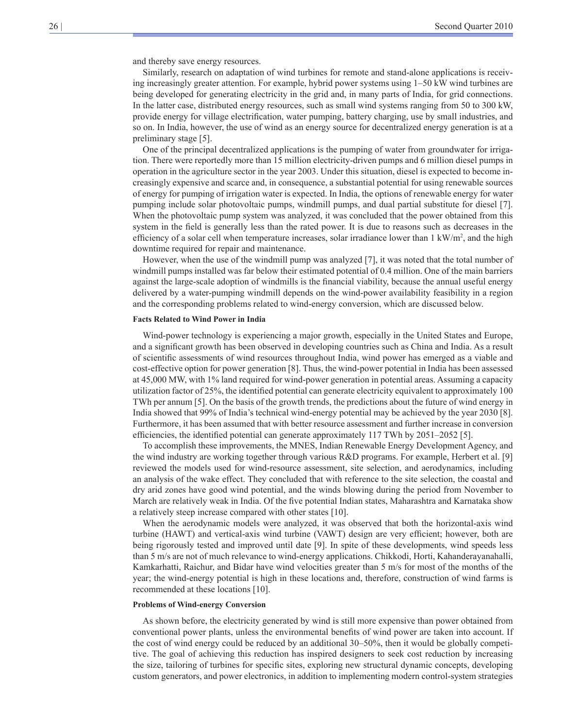and thereby save energy resources.

Similarly, research on adaptation of wind turbines for remote and stand-alone applications is receiving increasingly greater attention. For example, hybrid power systems using 1–50 kW wind turbines are being developed for generating electricity in the grid and, in many parts of India, for grid connections. In the latter case, distributed energy resources, such as small wind systems ranging from 50 to 300 kW, provide energy for village electrification, water pumping, battery charging, use by small industries, and so on. In India, however, the use of wind as an energy source for decentralized energy generation is at a preliminary stage [5].

One of the principal decentralized applications is the pumping of water from groundwater for irrigation. There were reportedly more than 15 million electricity-driven pumps and 6 million diesel pumps in operation in the agriculture sector in the year 2003. Under this situation, diesel is expected to become increasingly expensive and scarce and, in consequence, a substantial potential for using renewable sources of energy for pumping of irrigation water is expected. In India, the options of renewable energy for water pumping include solar photovoltaic pumps, windmill pumps, and dual partial substitute for diesel [7]. When the photovoltaic pump system was analyzed, it was concluded that the power obtained from this system in the field is generally less than the rated power. It is due to reasons such as decreases in the efficiency of a solar cell when temperature increases, solar irradiance lower than  $1 \text{ kW/m}^2$ , and the high downtime required for repair and maintenance.

However, when the use of the windmill pump was analyzed [7], it was noted that the total number of windmill pumps installed was far below their estimated potential of 0.4 million. One of the main barriers against the large-scale adoption of windmills is the financial viability, because the annual useful energy delivered by a water-pumping windmill depends on the wind-power availability feasibility in a region and the corresponding problems related to wind-energy conversion, which are discussed below.

#### **Facts Related to Wind Power in India**

Wind-power technology is experiencing a major growth, especially in the United States and Europe, and a significant growth has been observed in developing countries such as China and India. As a result of scientific assessments of wind resources throughout India, wind power has emerged as a viable and cost-effective option for power generation [8]. Thus, the wind-power potential in India has been assessed at 45,000 MW, with 1% land required for wind-power generation in potential areas. Assuming a capacity utilization factor of 25%, the identified potential can generate electricity equivalent to approximately 100 TWh per annum [5]. On the basis of the growth trends, the predictions about the future of wind energy in India showed that 99% of India's technical wind-energy potential may be achieved by the year 2030 [8]. Furthermore, it has been assumed that with better resource assessment and further increase in conversion efficiencies, the identified potential can generate approximately 117 TWh by 2051–2052 [5].

To accomplish these improvements, the MNES, Indian Renewable Energy Development Agency, and the wind industry are working together through various R&D programs. For example, Herbert et al. [9] reviewed the models used for wind-resource assessment, site selection, and aerodynamics, including an analysis of the wake effect. They concluded that with reference to the site selection, the coastal and dry arid zones have good wind potential, and the winds blowing during the period from November to March are relatively weak in India. Of the five potential Indian states, Maharashtra and Karnataka show a relatively steep increase compared with other states [10].

When the aerodynamic models were analyzed, it was observed that both the horizontal-axis wind turbine (HAWT) and vertical-axis wind turbine (VAWT) design are very efficient; however, both are being rigorously tested and improved until date [9]. In spite of these developments, wind speeds less than 5 m/s are not of much relevance to wind-energy applications. Chikkodi, Horti, Kahanderayanahalli, Kamkarhatti, Raichur, and Bidar have wind velocities greater than 5 m/s for most of the months of the year; the wind-energy potential is high in these locations and, therefore, construction of wind farms is recommended at these locations [10].

#### **Problems of Wind-energy Conversion**

As shown before, the electricity generated by wind is still more expensive than power obtained from conventional power plants, unless the environmental benefits of wind power are taken into account. If the cost of wind energy could be reduced by an additional 30–50%, then it would be globally competitive. The goal of achieving this reduction has inspired designers to seek cost reduction by increasing the size, tailoring of turbines for specific sites, exploring new structural dynamic concepts, developing custom generators, and power electronics, in addition to implementing modern control-system strategies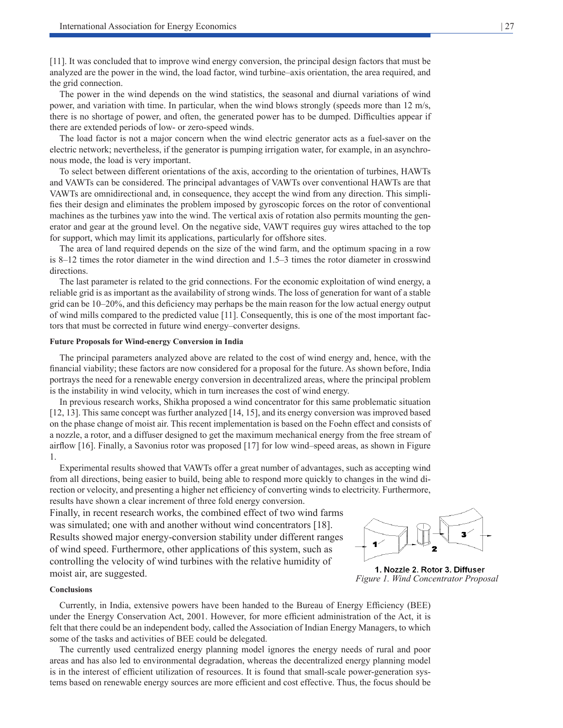[11]. It was concluded that to improve wind energy conversion, the principal design factors that must be analyzed are the power in the wind, the load factor, wind turbine–axis orientation, the area required, and the grid connection.

The power in the wind depends on the wind statistics, the seasonal and diurnal variations of wind power, and variation with time. In particular, when the wind blows strongly (speeds more than 12 m/s, there is no shortage of power, and often, the generated power has to be dumped. Difficulties appear if there are extended periods of low- or zero-speed winds.

The load factor is not a major concern when the wind electric generator acts as a fuel-saver on the electric network; nevertheless, if the generator is pumping irrigation water, for example, in an asynchronous mode, the load is very important.

To select between different orientations of the axis, according to the orientation of turbines, HAWTs and VAWTs can be considered. The principal advantages of VAWTs over conventional HAWTs are that VAWTs are omnidirectional and, in consequence, they accept the wind from any direction. This simplifies their design and eliminates the problem imposed by gyroscopic forces on the rotor of conventional machines as the turbines yaw into the wind. The vertical axis of rotation also permits mounting the generator and gear at the ground level. On the negative side, VAWT requires guy wires attached to the top for support, which may limit its applications, particularly for offshore sites.

The area of land required depends on the size of the wind farm, and the optimum spacing in a row is 8–12 times the rotor diameter in the wind direction and 1.5–3 times the rotor diameter in crosswind directions.

The last parameter is related to the grid connections. For the economic exploitation of wind energy, a reliable grid is as important as the availability of strong winds. The loss of generation for want of a stable grid can be 10–20%, and this deficiency may perhaps be the main reason for the low actual energy output of wind mills compared to the predicted value [11]. Consequently, this is one of the most important factors that must be corrected in future wind energy–converter designs.

#### **Future Proposals for Wind-energy Conversion in India**

The principal parameters analyzed above are related to the cost of wind energy and, hence, with the financial viability; these factors are now considered for a proposal for the future. As shown before, India portrays the need for a renewable energy conversion in decentralized areas, where the principal problem is the instability in wind velocity, which in turn increases the cost of wind energy.

In previous research works, Shikha proposed a wind concentrator for this same problematic situation [12, 13]. This same concept was further analyzed [14, 15], and its energy conversion was improved based on the phase change of moist air. This recent implementation is based on the Foehn effect and consists of a nozzle, a rotor, and a diffuser designed to get the maximum mechanical energy from the free stream of airflow [16]. Finally, a Savonius rotor was proposed [17] for low wind–speed areas, as shown in Figure 1.

Experimental results showed that VAWTs offer a great number of advantages, such as accepting wind from all directions, being easier to build, being able to respond more quickly to changes in the wind direction or velocity, and presenting a higher net efficiency of converting winds to electricity. Furthermore, results have shown a clear increment of three fold energy conversion.

Finally, in recent research works, the combined effect of two wind farms was simulated; one with and another without wind concentrators [18]. Results showed major energy-conversion stability under different ranges of wind speed. Furthermore, other applications of this system, such as controlling the velocity of wind turbines with the relative humidity of moist air, are suggested.

#### **Conclusions**

Currently, in India, extensive powers have been handed to the Bureau of Energy Efficiency (BEE) under the Energy Conservation Act, 2001. However, for more efficient administration of the Act, it is felt that there could be an independent body, called the Association of Indian Energy Managers, to which some of the tasks and activities of BEE could be delegated.

The currently used centralized energy planning model ignores the energy needs of rural and poor areas and has also led to environmental degradation, whereas the decentralized energy planning model is in the interest of efficient utilization of resources. It is found that small-scale power-generation systems based on renewable energy sources are more efficient and cost effective. Thus, the focus should be



1. Nozzle 2. Rotor 3. Diffuser *Figure 1. Wind Concentrator Proposal*